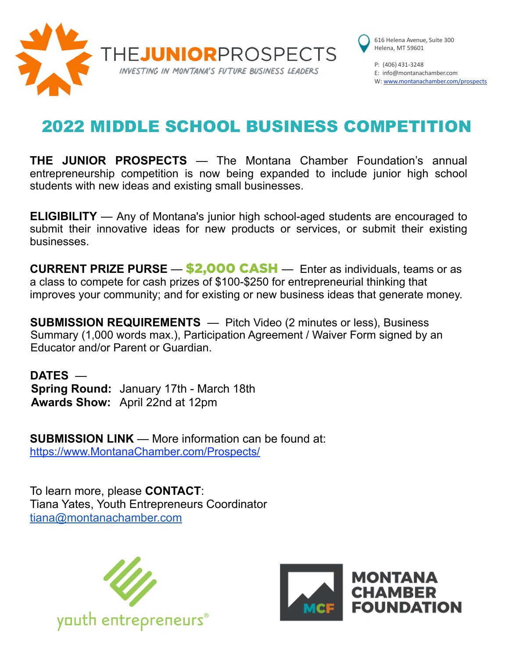

616 Helena Avenue, Suite 300 Helena, MT 59601

P: (406) 431-3248 E: [info@montanachamber.com](mailto:info@montanachamber.com) W: [www.montanachamber.com](http://www.montanachamber.com/)/prospects

## 2022 MIDDLE SCHOOL BUSINESS COMPETITION

**THE JUNIOR PROSPECTS** — The Montana Chamber Foundation's annual entrepreneurship competition is now being expanded to include junior high school students with new ideas and existing small businesses.

**ELIGIBILITY** — Any of Montana's junior high school-aged students are encouraged to submit their innovative ideas for new products or services, or submit their existing businesses.

**CURRENT PRIZE PURSE — \$2,000 CASH** — Enter as individuals, teams or as a class to compete for cash prizes of \$100-\$250 for entrepreneurial thinking that improves your community; and for existing or new business ideas that generate money.

**SUBMISSION REQUIREMENTS** — Pitch Video (2 minutes or less), Business Summary (1,000 words max.), Participation Agreement / Waiver Form signed by an Educator and/or Parent or Guardian.

**DATES** — **Spring Round:** January 17th - March 18th **Awards Show:** April 22nd at 12pm

**SUBMISSION LINK** — More information can be found at: https://www.MontanaChamber.com/Prospects/

To learn more, please **CONTACT**: Tiana Yates, Youth Entrepreneurs Coordinator [tiana@montanachamber.com](mailto:tiana@montanachamber.com)